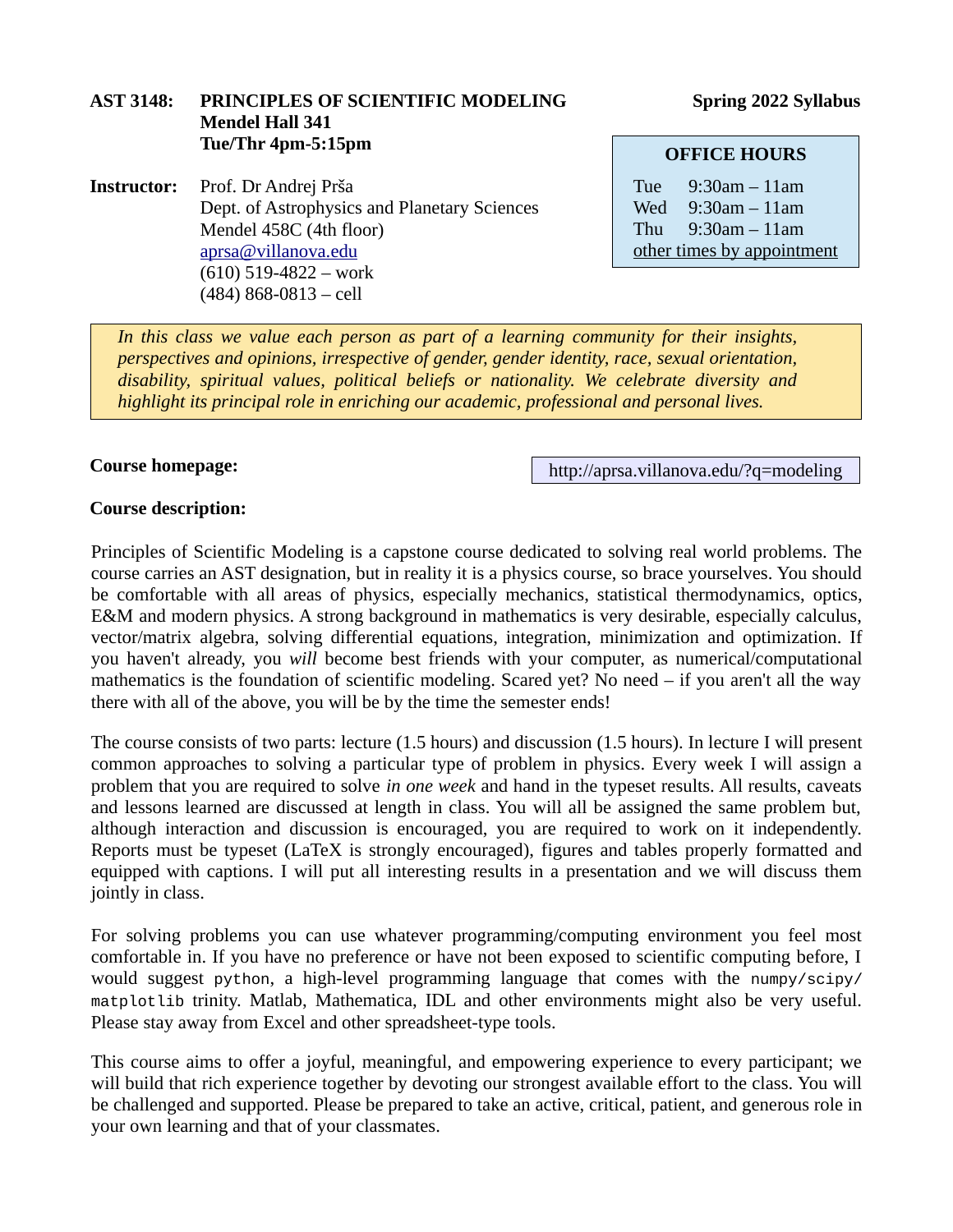## **AST 3148: PRINCIPLES OF SCIENTIFIC MODELING Spring 2022 Syllabus Mendel Hall 341 Tue/Thr 4pm-5:15pm**

**Instructor:** Prof. Dr Andrej Prša Dept. of Astrophysics and Planetary Sciences Mendel 458C (4th floor) [aprsa@villanova.edu](mailto:aprsa@villanova.edu) (610) 519-4822 – work (484) 868-0813 – cell

#### **OFFICE HOURS**

Tue 9:30am – 11am Wed 9:30am – 11am Thu 9:30am – 11am other times by appointment

*In this class we value each person as part of a learning community for their insights, perspectives and opinions, irrespective of gender, gender identity, race, sexual orientation, disability, spiritual values, political beliefs or nationality. We celebrate diversity and highlight its principal role in enriching our academic, professional and personal lives.*

#### **Course homepage:**

http://aprsa.villanova.edu/?q=modeling

#### **Course description:**

Principles of Scientific Modeling is a capstone course dedicated to solving real world problems. The course carries an AST designation, but in reality it is a physics course, so brace yourselves. You should be comfortable with all areas of physics, especially mechanics, statistical thermodynamics, optics, E&M and modern physics. A strong background in mathematics is very desirable, especially calculus, vector/matrix algebra, solving differential equations, integration, minimization and optimization. If you haven't already, you *will* become best friends with your computer, as numerical/computational mathematics is the foundation of scientific modeling. Scared yet? No need – if you aren't all the way there with all of the above, you will be by the time the semester ends!

The course consists of two parts: lecture (1.5 hours) and discussion (1.5 hours). In lecture I will present common approaches to solving a particular type of problem in physics. Every week I will assign a problem that you are required to solve *in one week* and hand in the typeset results. All results, caveats and lessons learned are discussed at length in class. You will all be assigned the same problem but, although interaction and discussion is encouraged, you are required to work on it independently. Reports must be typeset (LaTeX is strongly encouraged), figures and tables properly formatted and equipped with captions. I will put all interesting results in a presentation and we will discuss them jointly in class.

For solving problems you can use whatever programming/computing environment you feel most comfortable in. If you have no preference or have not been exposed to scientific computing before, I would suggest python, a high-level programming language that comes with the numpy/scipy/ matplotlib trinity. Matlab, Mathematica, IDL and other environments might also be very useful. Please stay away from Excel and other spreadsheet-type tools.

This course aims to offer a joyful, meaningful, and empowering experience to every participant; we will build that rich experience together by devoting our strongest available effort to the class. You will be challenged and supported. Please be prepared to take an active, critical, patient, and generous role in your own learning and that of your classmates.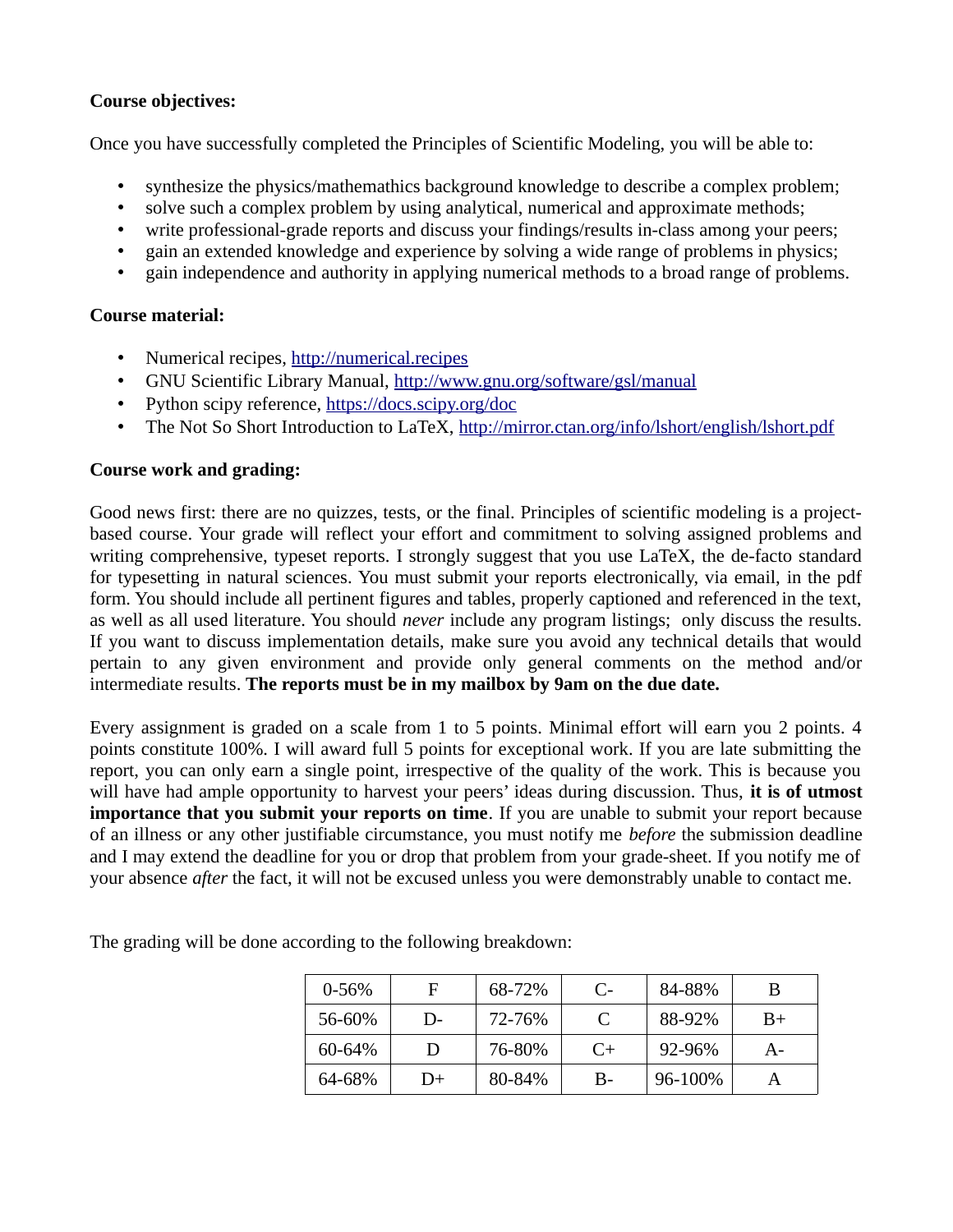# **Course objectives:**

Once you have successfully completed the Principles of Scientific Modeling, you will be able to:

- synthesize the physics/mathemathics background knowledge to describe a complex problem;
- solve such a complex problem by using analytical, numerical and approximate methods;
- write professional-grade reports and discuss your findings/results in-class among your peers;
- gain an extended knowledge and experience by solving a wide range of problems in physics;
- gain independence and authority in applying numerical methods to a broad range of problems.

## **Course material:**

- Numerical recipes, [http://numerical.recipes](http://numerical.recipes/)
- GNU Scientific Library Manual,<http://www.gnu.org/software/gsl/manual>
- Python scipy reference, <https://docs.scipy.org/doc>
- The Not So Short Introduction to LaTeX, <http://mirror.ctan.org/info/lshort/english/lshort.pdf>

## **Course work and grading:**

Good news first: there are no quizzes, tests, or the final. Principles of scientific modeling is a projectbased course. Your grade will reflect your effort and commitment to solving assigned problems and writing comprehensive, typeset reports. I strongly suggest that you use LaTeX, the de-facto standard for typesetting in natural sciences. You must submit your reports electronically, via email, in the pdf form. You should include all pertinent figures and tables, properly captioned and referenced in the text, as well as all used literature. You should *never* include any program listings; only discuss the results. If you want to discuss implementation details, make sure you avoid any technical details that would pertain to any given environment and provide only general comments on the method and/or intermediate results. **The reports must be in my mailbox by 9am on the due date.**

Every assignment is graded on a scale from 1 to 5 points. Minimal effort will earn you 2 points. 4 points constitute 100%. I will award full 5 points for exceptional work. If you are late submitting the report, you can only earn a single point, irrespective of the quality of the work. This is because you will have had ample opportunity to harvest your peers' ideas during discussion. Thus, **it is of utmost importance that you submit your reports on time**. If you are unable to submit your report because of an illness or any other justifiable circumstance, you must notify me *before* the submission deadline and I may extend the deadline for you or drop that problem from your grade-sheet. If you notify me of your absence *after* the fact, it will not be excused unless you were demonstrably unable to contact me.

| $0 - 56%$ | F  | 68-72% | C-   | 84-88%  | В     |
|-----------|----|--------|------|---------|-------|
| 56-60%    | D- | 72-76% |      | 88-92%  | $B+$  |
| 60-64%    | D  | 76-80% | $C+$ | 92-96%  | $A -$ |
| 64-68%    | D+ | 80-84% | В-   | 96-100% |       |

The grading will be done according to the following breakdown: